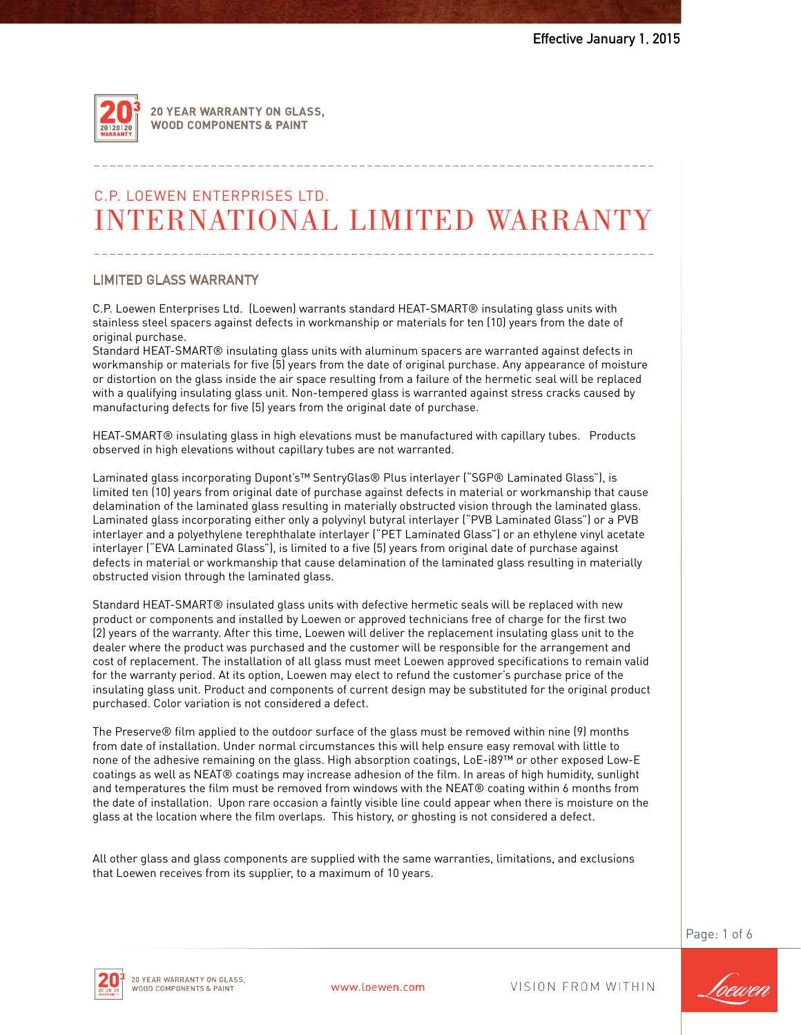

20 YEAR WARRANTY ON GLASS. **WOOD COMPONENTS & PAINT** 

# C.P. LoEwEN ENTERPRiSES LTD. INTERNATIONAL LIMITED WARRANTY

# **LIMITED GLASS WARRANTY** LIMITED GLASS WARRANTY

C.P. Loewen Enterprises Ltd. (Loewen) warrants standard HEAT-SMART® insulating glass units with C.P. Loewen Enterprises Ltd. (Loewen) warrants standard HEAT-SMART® insulating glass units with stainless steel spacers against defects in workmanship or materials for ten (10) years from the date of<br>eriginal purchase original purchase.

Standard HEAT-SMART® insulating glass units with aluminum spacers are warranted against defects in workmanship or materials for five (5) years from the date of original purchase. Any appearance of moisture or distortion on the glass inside the air space resulting from a failure of the hermetic seal will be replaced hermetic seal will be replaced with a qualifying insulating glass unit. Non-tempered glass is warranted with a qualifying insulating glass unit. Non-tempered glass is warranted against stress cracks caused by manufacturing defects for five (5) years from the original date of purchase.

near statures insulating glass in high elevations must be manufactured with capitaly tubes.<br>observed in high elevations without capillary tubes are not warranted. Products observed in high elevations without capillary tubes are not warranted. HEAT-SMART® insulating glass in high elevations must be manufactured with capillary tubes. Products

limited ten (10) years from original date of purchase against defects in material or workmanship that cause delamination of the laminated glass resulting in materially obstructed vision through the laminated glass. Laminated glass incorporating either only a polyvinyl butyral interlayer ("PVB Laminated Glass") or a PVB mtertayer and a polyemylene terephthatate mertayer ("PET Laminated Glass") or an emylene vinyl acetate<br>interlayer ("EVA Laminated Glass"), is limited to a five (5) years from original date of purchase against defects in material or workmanship that cause delamination of the laminated glass resulting in materially obstructed vision through the laminated glass.  $\overline{\phantom{a}}$ Laminated glass incorporating Dupont's™ SentryGlas® Plus interlayer ("SGP® Laminated Glass"), is interlayer and a polyethylene terephthalate interlayer ("PET Laminated Glass") or an ethylene vinyl acetate

Standard HEAT-SMART® insulated glass units with defective hermetic seals will be replaced with new (2) years of the warranty. After this time, Loewen will deliver the replacement insulating glass unit to the acater where the product was parenased and the castomer with be responsible for the arrangement and<br>cost of replacement. The installation of all glass must meet Loewen approved specifications to remain valid for the warranty period. At its option, Loewen may elect to refund the customer's purchase price of the insulating glass unit. Product and components of current design may be substituted for the original product purchased. Color variation is not considered a defect. product or components and installed by Loewen or approved technicians free of charge for the first two dealer where the product was purchased and the customer will be responsible for the arrangement and

The Preserve® film applied to the outdoor surface of the glass must be removed within nine (9) months Fire Fresence of this applied to the oddoor surface of the glass mast be removed within time (7) months<br>from date of installation. Under normal circumstances this will help ensure easy removal with little to none of the adhesive remaining on the glass. High absorption coatings, LoE-i89™ or other exposed Low-E and temperatures the film must be removed from windows with the NEAT® coating within 6 months from the date of installation. Upon rare occasion a faintly visible line could appear when there is moisture on the coatings as well as NEAT® coatings may increase adhesion of the film. In areas of high humidity, sunlight glass at the location where the film overlaps. This history, or ghosting is not considered a defect.

All other glass and glass components are supplied with the same warranties, limitations, and exclusions that Loewen receives from its supplier, to a maximum of 10 years.

Page: 1 of 6



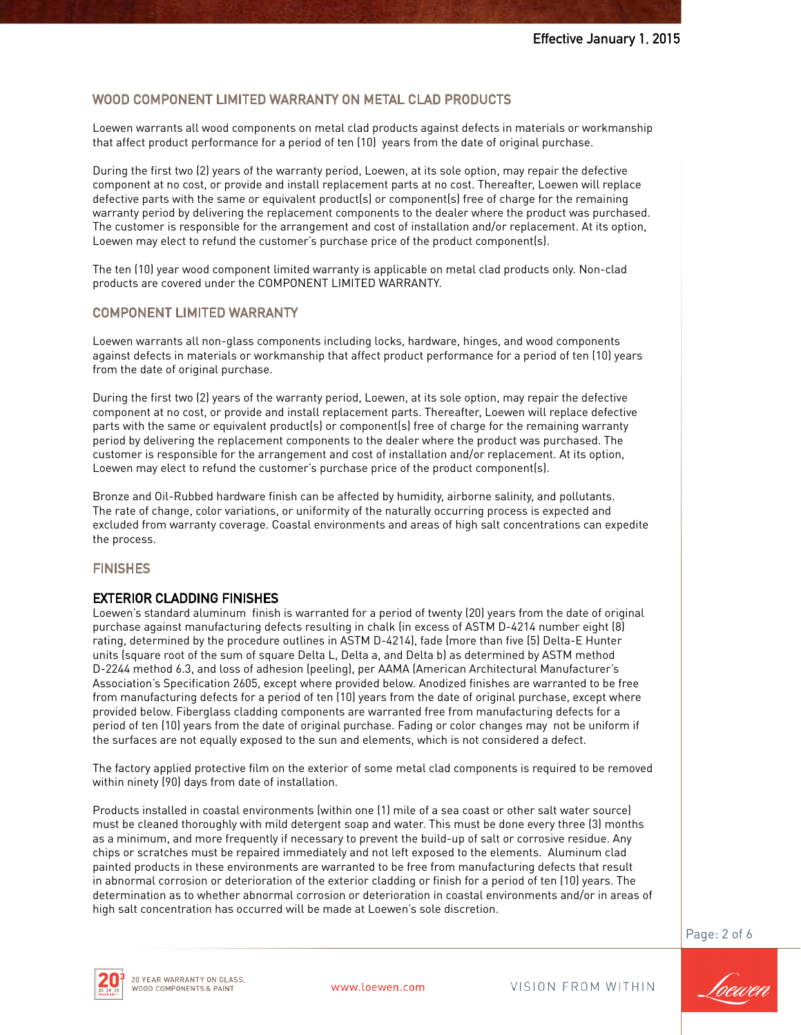# WOOD COMPONENT LIMITED WARRANTY ON METAL CLAD PRODUCTS

Loewen warrants all wood components on metal clad products against defects in materials or workmanship that affect product performance for a period of ten (10) years from the date of original purchase.

During the first two (2) years of the warranty period, Loewen, at its sole option, may repair the defective component at no cost, or provide and install replacement parts at no cost. Thereafter, Loewen will replace defective parts with the same or equivalent product(s) or component(s) free of charge for the remaining warranty period by delivering the replacement components to the dealer where the product was purchased. The customer is responsible for the arrangement and cost of installation and/or replacement. At its option, Loewen may elect to refund the customer's purchase price of the product component(s).

The ten (10) year wood component limited warranty is applicable on metal clad products only. Non-clad products are covered under the COMPONENT LIMITED WARRANTY.

# COMPONENT LIMITED WARRANTY

Loewen warrants all non-glass components including locks, hardware, hinges, and wood components against defects in materials or workmanship that affect product performance for a period of ten (10) years from the date of original purchase.

During the first two (2) years of the warranty period, Loewen, at its sole option, may repair the defective component at no cost, or provide and install replacement parts. Thereafter, Loewen will replace defective parts with the same or equivalent product(s) or component(s) free of charge for the remaining warranty period by delivering the replacement components to the dealer where the product was purchased. The customer is responsible for the arrangement and cost of installation and/or replacement. At its option, Loewen may elect to refund the customer's purchase price of the product component(s).

Bronze and Oil-Rubbed hardware finish can be affected by humidity, airborne salinity, and pollutants. The rate of change, color variations, or uniformity of the naturally occurring process is expected and excluded from warranty coverage. Coastal environments and areas of high salt concentrations can expedite the process.

#### **FINISHES**

#### EXTERIOR CLADDING FINISHES

Loewen's standard aluminum finish is warranted for a period of twenty (20) years from the date of original purchase against manufacturing defects resulting in chalk (in excess of ASTM D-4214 number eight (8) rating, determined by the procedure outlines in ASTM D-4214), fade (more than five (5) Delta-E Hunter units (square root of the sum of square Delta L, Delta a, and Delta b) as determined by ASTM method D-2244 method 6.3, and loss of adhesion (peeling), per AAMA (American Architectural Manufacturer's Association's Specification 2605, except where provided below. Anodized finishes are warranted to be free from manufacturing defects for a period of ten (10) years from the date of original purchase, except where provided below. Fiberglass cladding components are warranted free from manufacturing defects for a period of ten (10) years from the date of original purchase. Fading or color changes may not be uniform if the surfaces are not equally exposed to the sun and elements, which is not considered a defect.

The factory applied protective film on the exterior of some metal clad components is required to be removed within ninety (90) days from date of installation.

Products installed in coastal environments (within one (1) mile of a sea coast or other salt water source) must be cleaned thoroughly with mild detergent soap and water. This must be done every three (3) months as a minimum, and more frequently if necessary to prevent the build-up of salt or corrosive residue. Any chips or scratches must be repaired immediately and not left exposed to the elements. Aluminum clad painted products in these environments are warranted to be free from manufacturing defects that result in abnormal corrosion or deterioration of the exterior cladding or finish for a period of ten (10) years. The determination as to whether abnormal corrosion or deterioration in coastal environments and/or in areas of high salt concentration has occurred will be made at Loewen's sole discretion.

Page: 2 of 6



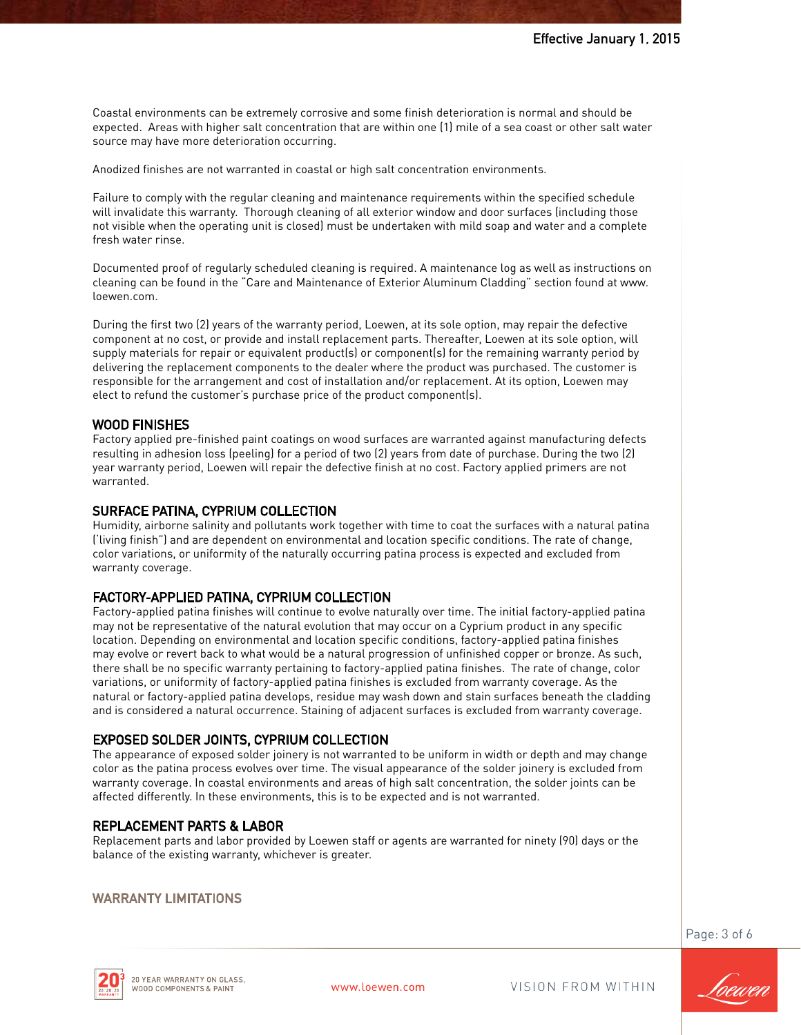Coastal environments can be extremely corrosive and some finish deterioration is normal and should be expected. Areas with higher salt concentration that are within one (1) mile of a sea coast or other salt water source may have more deterioration occurring.

Anodized finishes are not warranted in coastal or high salt concentration environments.

Failure to comply with the regular cleaning and maintenance requirements within the specified schedule will invalidate this warranty. Thorough cleaning of all exterior window and door surfaces (including those not visible when the operating unit is closed) must be undertaken with mild soap and water and a complete fresh water rinse.

Documented proof of regularly scheduled cleaning is required. A maintenance log as well as instructions on cleaning can be found in the "Care and Maintenance of Exterior Aluminum Cladding" section found at www. loewen.com.

During the first two (2) years of the warranty period, Loewen, at its sole option, may repair the defective component at no cost, or provide and install replacement parts. Thereafter, Loewen at its sole option, will supply materials for repair or equivalent product(s) or component(s) for the remaining warranty period by delivering the replacement components to the dealer where the product was purchased. The customer is responsible for the arrangement and cost of installation and/or replacement. At its option, Loewen may elect to refund the customer's purchase price of the product component(s).

#### WOOD FINISHES

Factory applied pre-finished paint coatings on wood surfaces are warranted against manufacturing defects resulting in adhesion loss (peeling) for a period of two (2) years from date of purchase. During the two (2) year warranty period, Loewen will repair the defective finish at no cost. Factory applied primers are not warranted.

#### SURFACE PATINA, CYPRIUM COLLECTION

Humidity, airborne salinity and pollutants work together with time to coat the surfaces with a natural patina ('living finish") and are dependent on environmental and location specific conditions. The rate of change, color variations, or uniformity of the naturally occurring patina process is expected and excluded from warranty coverage.

#### FACTORY-APPLIED PATINA, CYPRIUM COLLECTION

Factory-applied patina finishes will continue to evolve naturally over time. The initial factory-applied patina may not be representative of the natural evolution that may occur on a Cyprium product in any specific location. Depending on environmental and location specific conditions, factory-applied patina finishes may evolve or revert back to what would be a natural progression of unfinished copper or bronze. As such, there shall be no specific warranty pertaining to factory-applied patina finishes. The rate of change, color variations, or uniformity of factory-applied patina finishes is excluded from warranty coverage. As the natural or factory-applied patina develops, residue may wash down and stain surfaces beneath the cladding and is considered a natural occurrence. Staining of adjacent surfaces is excluded from warranty coverage.

#### EXPOSED SOLDER JOINTS, CYPRIUM COLLECTION

The appearance of exposed solder joinery is not warranted to be uniform in width or depth and may change color as the patina process evolves over time. The visual appearance of the solder joinery is excluded from warranty coverage. In coastal environments and areas of high salt concentration, the solder joints can be affected differently. In these environments, this is to be expected and is not warranted.

#### REPLACEMENT PARTS & LABOR

Replacement parts and labor provided by Loewen staff or agents are warranted for ninety (90) days or the balance of the existing warranty, whichever is greater.

#### WARRANTY LIMITATIONS

Page: 3 of 6



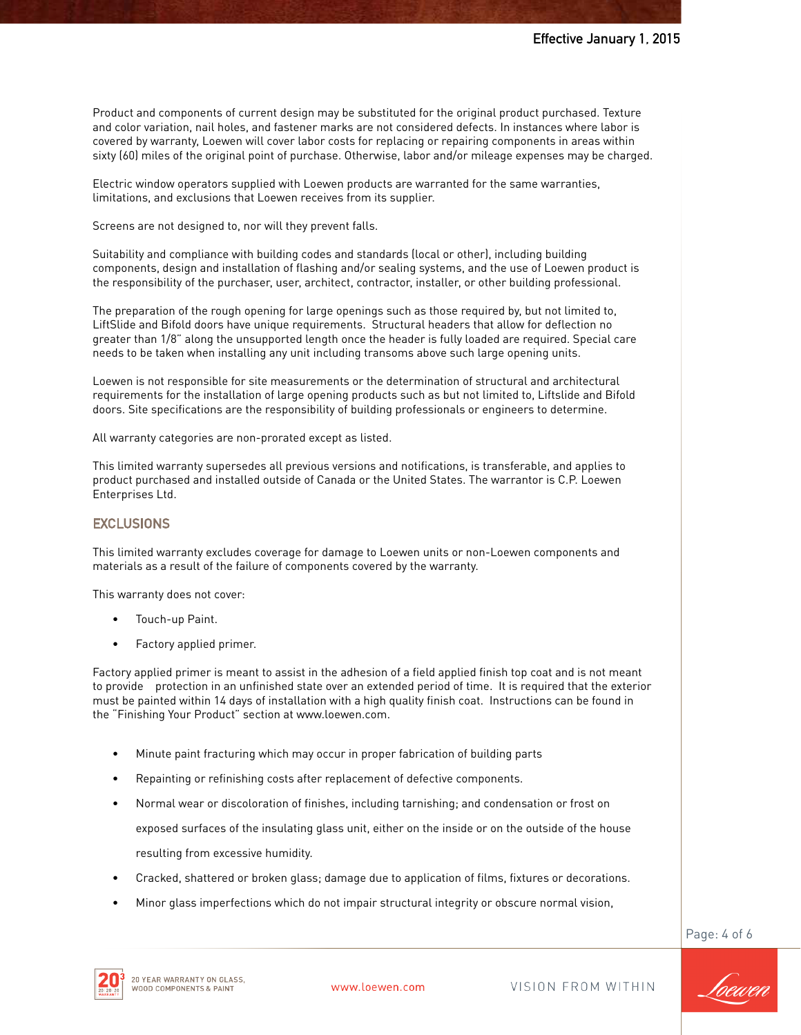Product and components of current design may be substituted for the original product purchased. Texture and color variation, nail holes, and fastener marks are not considered defects. In instances where labor is covered by warranty, Loewen will cover labor costs for replacing or repairing components in areas within sixty (60) miles of the original point of purchase. Otherwise, labor and/or mileage expenses may be charged.

Electric window operators supplied with Loewen products are warranted for the same warranties, limitations, and exclusions that Loewen receives from its supplier.

Screens are not designed to, nor will they prevent falls.

Suitability and compliance with building codes and standards (local or other), including building components, design and installation of flashing and/or sealing systems, and the use of Loewen product is the responsibility of the purchaser, user, architect, contractor, installer, or other building professional.

The preparation of the rough opening for large openings such as those required by, but not limited to, LiftSlide and Bifold doors have unique requirements. Structural headers that allow for deflection no greater than 1/8" along the unsupported length once the header is fully loaded are required. Special care needs to be taken when installing any unit including transoms above such large opening units.

Loewen is not responsible for site measurements or the determination of structural and architectural requirements for the installation of large opening products such as but not limited to, Liftslide and Bifold doors. Site specifications are the responsibility of building professionals or engineers to determine.

All warranty categories are non-prorated except as listed.

This limited warranty supersedes all previous versions and notifications, is transferable, and applies to product purchased and installed outside of Canada or the United States. The warrantor is C.P. Loewen Enterprises Ltd.

#### **EXCLUSIONS**

This limited warranty excludes coverage for damage to Loewen units or non-Loewen components and materials as a result of the failure of components covered by the warranty.

This warranty does not cover:

- Touch-up Paint.
- Factory applied primer.

Factory applied primer is meant to assist in the adhesion of a field applied finish top coat and is not meant to provide protection in an unfinished state over an extended period of time. It is required that the exterior must be painted within 14 days of installation with a high quality finish coat. Instructions can be found in the "Finishing Your Product" section at www.loewen.com.

- Minute paint fracturing which may occur in proper fabrication of building parts
- Repainting or refinishing costs after replacement of defective components.
- Normal wear or discoloration of finishes, including tarnishing; and condensation or frost on

exposed surfaces of the insulating glass unit, either on the inside or on the outside of the house

resulting from excessive humidity.

- Cracked, shattered or broken glass; damage due to application of films, fixtures or decorations.
- Minor glass imperfections which do not impair structural integrity or obscure normal vision,

Page: 4 of 6



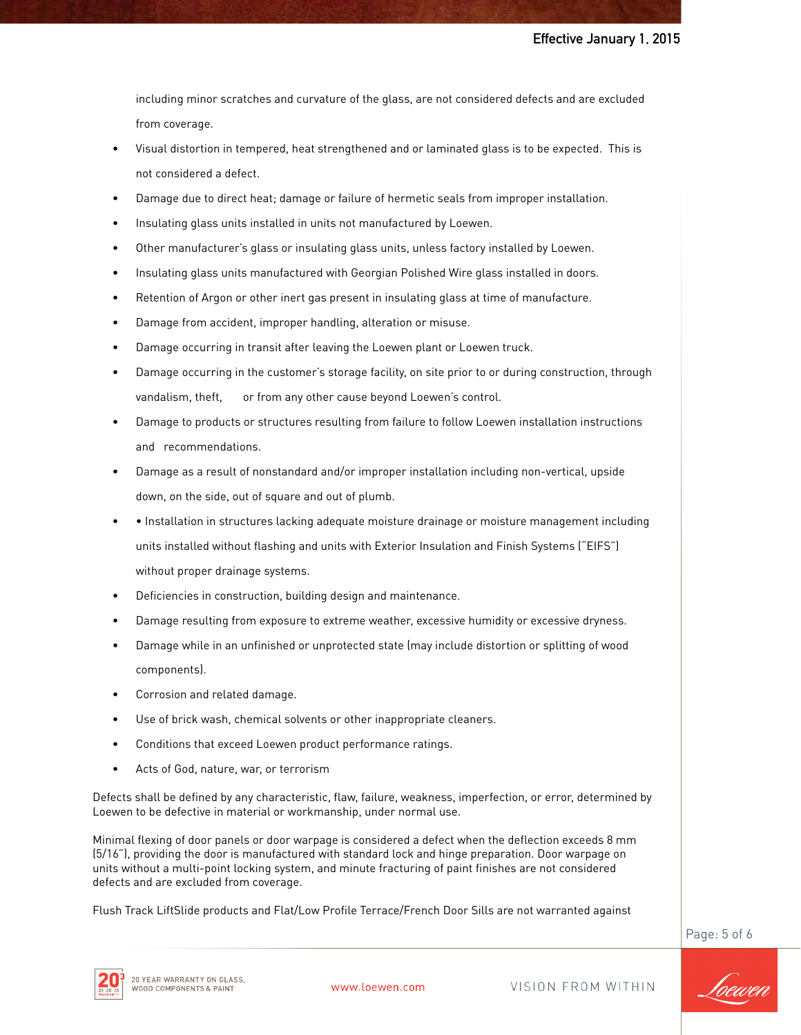including minor scratches and curvature of the glass, are not considered defects and are excluded from coverage.

- Visual distortion in tempered, heat strengthened and or laminated glass is to be expected. This is not considered a defect.
- Damage due to direct heat; damage or failure of hermetic seals from improper installation.
- Insulating glass units installed in units not manufactured by Loewen.
- Other manufacturer's glass or insulating glass units, unless factory installed by Loewen.
- Insulating glass units manufactured with Georgian Polished Wire glass installed in doors.
- Retention of Argon or other inert gas present in insulating glass at time of manufacture.
- Damage from accident, improper handling, alteration or misuse.
- Damage occurring in transit after leaving the Loewen plant or Loewen truck.
- Damage occurring in the customer's storage facility, on site prior to or during construction, through vandalism, theft, or from any other cause beyond Loewen's control.
- Damage to products or structures resulting from failure to follow Loewen installation instructions and recommendations.
- Damage as a result of nonstandard and/or improper installation including non-vertical, upside down, on the side, out of square and out of plumb.
- • Installation in structures lacking adequate moisture drainage or moisture management including units installed without flashing and units with Exterior Insulation and Finish Systems ("EIFS") without proper drainage systems.
- Deficiencies in construction, building design and maintenance.
- Damage resulting from exposure to extreme weather, excessive humidity or excessive dryness.
- Damage while in an unfinished or unprotected state (may include distortion or splitting of wood components).
- Corrosion and related damage.
- Use of brick wash, chemical solvents or other inappropriate cleaners.
- Conditions that exceed Loewen product performance ratings.
- Acts of God, nature, war, or terrorism

Defects shall be defined by any characteristic, flaw, failure, weakness, imperfection, or error, determined by Loewen to be defective in material or workmanship, under normal use.

Minimal flexing of door panels or door warpage is considered a defect when the deflection exceeds 8 mm (5/16"), providing the door is manufactured with standard lock and hinge preparation. Door warpage on units without a multi-point locking system, and minute fracturing of paint finishes are not considered defects and are excluded from coverage.

Flush Track LiftSlide products and Flat/Low Profile Terrace/French Door Sills are not warranted against

Page: 5 of 6